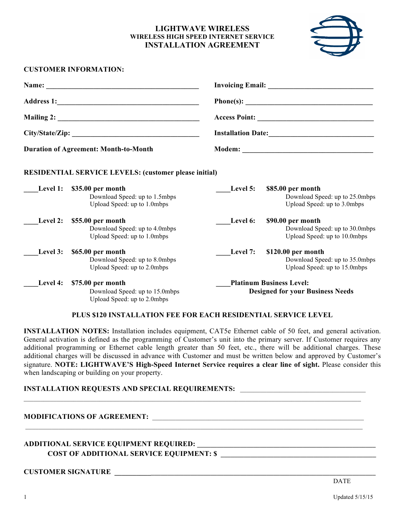## **LIGHTWAVE WIRELESS WIRELESS HIGH SPEED INTERNET SERVICE INSTALLATION AGREEMENT**



## **CUSTOMER INFORMATION:**

| <b>Duration of Agreement: Month-to-Month</b> |                                                                                            |                                                                            |                                                                                      |
|----------------------------------------------|--------------------------------------------------------------------------------------------|----------------------------------------------------------------------------|--------------------------------------------------------------------------------------|
|                                              |                                                                                            |                                                                            |                                                                                      |
|                                              |                                                                                            |                                                                            |                                                                                      |
|                                              |                                                                                            |                                                                            |                                                                                      |
|                                              | Level 1: \$35.00 per month<br>Download Speed: up to 1.5mbps<br>Upload Speed: up to 1.0mbps | Level 5:                                                                   | \$85.00 per month<br>Download Speed: up to 25.0mbps<br>Upload Speed: up to 3.0mbps   |
| Level 2:                                     | \$55.00 per month<br>Download Speed: up to 4.0mbps<br>Upload Speed: up to 1.0mbps          | Level 6:                                                                   | \$90.00 per month<br>Download Speed: up to 30.0mbps<br>Upload Speed: up to 10.0mbps  |
| Level 3:                                     | \$65.00 per month<br>Download Speed: up to 8.0mbps<br>Upload Speed: up to 2.0mbps          | Level 7:                                                                   | \$120.00 per month<br>Download Speed: up to 35.0mbps<br>Upload Speed: up to 15.0mbps |
| Level 4:                                     | \$75.00 per month<br>Download Speed: up to 15.0mbps<br>Upload Speed: up to 2.0mbps         | <b>Platinum Business Level:</b><br><b>Designed for your Business Needs</b> |                                                                                      |

#### **PLUS \$120 INSTALLATION FEE FOR EACH RESIDENTIAL SERVICE LEVEL**

**INSTALLATION NOTES:** Installation includes equipment, CAT5e Ethernet cable of 50 feet, and general activation. General activation is defined as the programming of Customer's unit into the primary server. If Customer requires any additional programming or Ethernet cable length greater than 50 feet, etc., there will be additional charges. These additional charges will be discussed in advance with Customer and must be written below and approved by Customer's signature. **NOTE: LIGHTWAVE'S High-Speed Internet Service requires a clear line of sight.** Please consider this when landscaping or building on your property.

 $\_$  , and the state of the state of the state of the state of the state of the state of the state of the state of the state of the state of the state of the state of the state of the state of the state of the state of the

### **INSTALLATION REQUESTS AND SPECIAL REQUIREMENTS:**

#### **MODIFICATIONS OF AGREEMENT:**

# **ADDITIONAL SERVICE EQUIPMENT REQUIRED: \_\_\_\_\_\_\_\_\_\_\_\_\_\_\_\_\_\_\_\_\_\_\_\_\_\_\_\_\_\_\_\_\_\_\_\_\_\_\_\_\_\_\_\_\_\_\_\_\_\_\_\_\_\_ COST OF ADDITIONAL SERVICE EQUIPMENT: \$ \_\_\_\_\_\_\_\_\_\_\_\_\_\_\_\_\_\_\_\_\_\_\_\_\_\_\_\_\_\_\_\_\_\_\_\_\_\_\_\_\_\_\_\_\_\_\_**

## **CUSTOMER SIGNATURE \_\_\_\_\_\_\_\_\_\_\_\_\_\_\_\_\_\_\_\_\_\_\_\_\_\_\_\_\_\_\_\_\_\_\_\_\_\_\_\_\_\_\_\_\_\_\_\_\_\_\_\_\_\_\_\_\_\_\_\_\_\_\_\_\_\_\_\_\_\_\_\_\_\_\_\_\_\_**